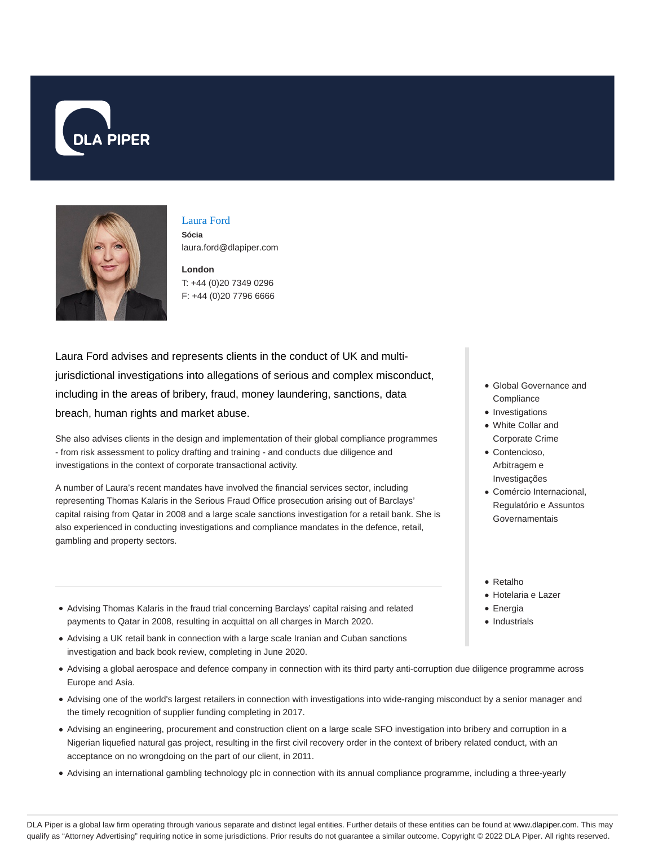



# Laura Ford

**Sócia** laura.ford@dlapiper.com

**London** T: +44 (0)20 7349 0296 F: +44 (0)20 7796 6666

Laura Ford advises and represents clients in the conduct of UK and multijurisdictional investigations into allegations of serious and complex misconduct, including in the areas of bribery, fraud, money laundering, sanctions, data breach, human rights and market abuse.

She also advises clients in the design and implementation of their global compliance programmes - from risk assessment to policy drafting and training - and conducts due diligence and investigations in the context of corporate transactional activity.

A number of Laura's recent mandates have involved the financial services sector, including representing Thomas Kalaris in the Serious Fraud Office prosecution arising out of Barclays' capital raising from Qatar in 2008 and a large scale sanctions investigation for a retail bank. She is also experienced in conducting investigations and compliance mandates in the defence, retail, gambling and property sectors.

- Advising Thomas Kalaris in the fraud trial concerning Barclays' capital raising and related payments to Qatar in 2008, resulting in acquittal on all charges in March 2020.
- Advising a UK retail bank in connection with a large scale Iranian and Cuban sanctions investigation and back book review, completing in June 2020.
- Advising a global aerospace and defence company in connection with its third party anti-corruption due diligence programme across Europe and Asia.
- Advising one of the world's largest retailers in connection with investigations into wide-ranging misconduct by a senior manager and the timely recognition of supplier funding completing in 2017.
- Advising an engineering, procurement and construction client on a large scale SFO investigation into bribery and corruption in a Nigerian liquefied natural gas project, resulting in the first civil recovery order in the context of bribery related conduct, with an acceptance on no wrongdoing on the part of our client, in 2011.
- Advising an international gambling technology plc in connection with its annual compliance programme, including a three-yearly
- Global Governance and **Compliance**
- Investigations
- White Collar and Corporate Crime
- Contencioso, Arbitragem e Investigações
- Comércio Internacional, Regulatório e Assuntos Governamentais
- Retalho
- Hotelaria e Lazer
- Energia
- Industrials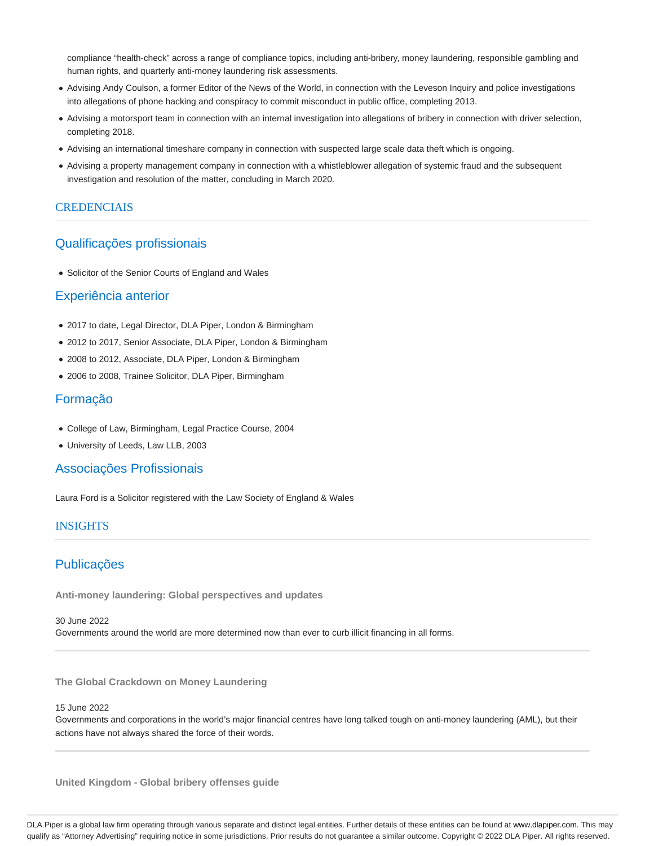compliance "health-check" across a range of compliance topics, including anti-bribery, money laundering, responsible gambling and human rights, and quarterly anti-money laundering risk assessments.

- Advising Andy Coulson, a former Editor of the News of the World, in connection with the Leveson Inquiry and police investigations into allegations of phone hacking and conspiracy to commit misconduct in public office, completing 2013.
- Advising a motorsport team in connection with an internal investigation into allegations of bribery in connection with driver selection, completing 2018.
- Advising an international timeshare company in connection with suspected large scale data theft which is ongoing.
- Advising a property management company in connection with a whistleblower allegation of systemic fraud and the subsequent investigation and resolution of the matter, concluding in March 2020.

## **CREDENCIAIS**

# Qualificações profissionais

• Solicitor of the Senior Courts of England and Wales

## Experiência anterior

- 2017 to date, Legal Director, DLA Piper, London & Birmingham
- 2012 to 2017, Senior Associate, DLA Piper, London & Birmingham
- 2008 to 2012, Associate, DLA Piper, London & Birmingham
- 2006 to 2008, Trainee Solicitor, DLA Piper, Birmingham

# Formação

- College of Law, Birmingham, Legal Practice Course, 2004
- University of Leeds, Law LLB, 2003

## Associações Profissionais

Laura Ford is a Solicitor registered with the Law Society of England & Wales

### INSIGHTS

# Publicações

**Anti-money laundering: Global perspectives and updates**

#### 30 June 2022

Governments around the world are more determined now than ever to curb illicit financing in all forms.

**The Global Crackdown on Money Laundering**

### 15 June 2022

Governments and corporations in the world's major financial centres have long talked tough on anti-money laundering (AML), but their actions have not always shared the force of their words.

**United Kingdom - Global bribery offenses guide**

DLA Piper is a global law firm operating through various separate and distinct legal entities. Further details of these entities can be found at www.dlapiper.com. This may qualify as "Attorney Advertising" requiring notice in some jurisdictions. Prior results do not guarantee a similar outcome. Copyright © 2022 DLA Piper. All rights reserved.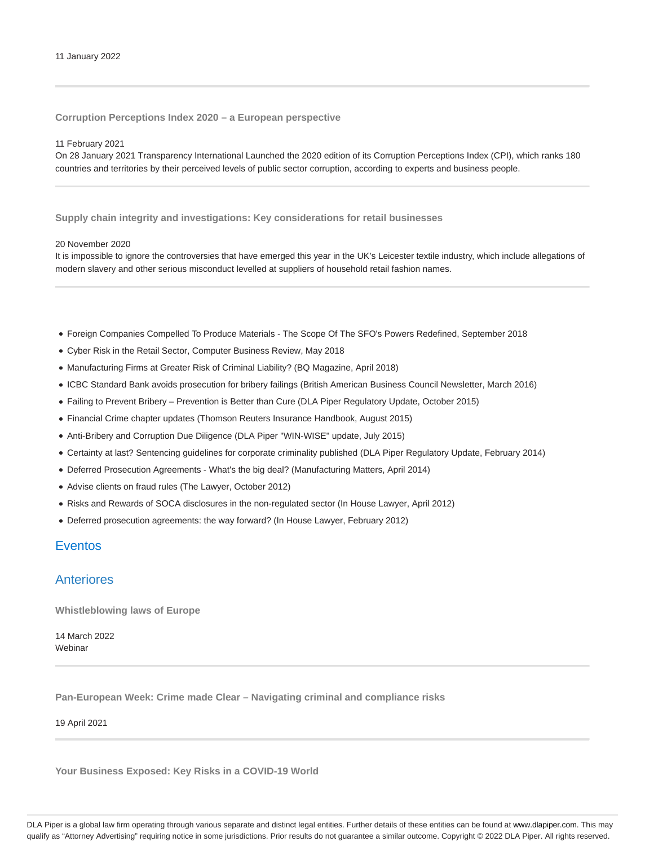**Corruption Perceptions Index 2020 – a European perspective**

### 11 February 2021

On 28 January 2021 Transparency International Launched the 2020 edition of its Corruption Perceptions Index (CPI), which ranks 180 countries and territories by their perceived levels of public sector corruption, according to experts and business people.

**Supply chain integrity and investigations: Key considerations for retail businesses**

#### 20 November 2020

It is impossible to ignore the controversies that have emerged this year in the UK's Leicester textile industry, which include allegations of modern slavery and other serious misconduct levelled at suppliers of household retail fashion names.

- Foreign Companies Compelled To Produce Materials The Scope Of The SFO's Powers Redefined, September 2018
- Cyber Risk in the Retail Sector, Computer Business Review, May 2018
- Manufacturing Firms at Greater Risk of Criminal Liability? (BQ Magazine, April 2018)
- ICBC Standard Bank avoids prosecution for bribery failings (British American Business Council Newsletter, March 2016)
- Failing to Prevent Bribery Prevention is Better than Cure (DLA Piper Regulatory Update, October 2015)
- Financial Crime chapter updates (Thomson Reuters Insurance Handbook, August 2015)
- Anti-Bribery and Corruption Due Diligence (DLA Piper "WIN-WISE" update, July 2015)
- Certainty at last? Sentencing guidelines for corporate criminality published (DLA Piper Regulatory Update, February 2014)
- Deferred Prosecution Agreements What's the big deal? (Manufacturing Matters, April 2014)
- Advise clients on fraud rules (The Lawyer, October 2012)
- Risks and Rewards of SOCA disclosures in the non-regulated sector (In House Lawyer, April 2012)
- Deferred prosecution agreements: the way forward? (In House Lawyer, February 2012)

# Eventos

## Anteriores

**Whistleblowing laws of Europe**

14 March 2022 Webinar

**Pan-European Week: Crime made Clear – Navigating criminal and compliance risks**

19 April 2021

**Your Business Exposed: Key Risks in a COVID-19 World**